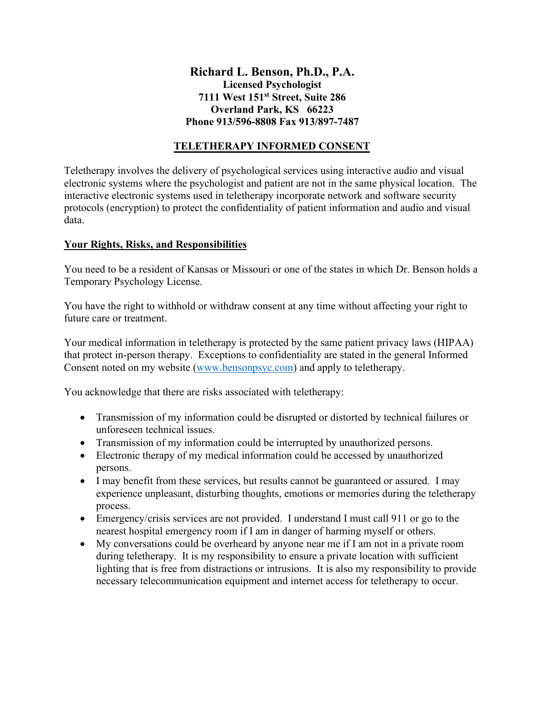## **Richard L. Benson, Ph.D., P.A. Licensed Psychologist 7111 West 151st Street, Suite 286 Overland Park, KS 66223 Phone 913/596-8808 Fax 913/897-7487**

## **TELETHERAPY INFORMED CONSENT**

Teletherapy involves the delivery of psychological services using interactive audio and visual electronic systems where the psychologist and patient are not in the same physical location. The interactive electronic systems used in teletherapy incorporate network and software security protocols (encryption) to protect the confidentiality of patient information and audio and visual data.

## **Your Rights, Risks, and Responsibilities**

You need to be a resident of Kansas or Missouri or one of the states in which Dr. Benson holds a Temporary Psychology License.

You have the right to withhold or withdraw consent at any time without affecting your right to future care or treatment.

Your medical information in teletherapy is protected by the same patient privacy laws (HIPAA) that protect in-person therapy. Exceptions to confidentiality are stated in the general Informed Consent noted on my website [\(www.bensonpsyc.com\)](http://www.bensonpsyc.com/) and apply to teletherapy.

You acknowledge that there are risks associated with teletherapy:

- Transmission of my information could be disrupted or distorted by technical failures or unforeseen technical issues.
- Transmission of my information could be interrupted by unauthorized persons.
- Electronic therapy of my medical information could be accessed by unauthorized persons.
- I may benefit from these services, but results cannot be guaranteed or assured. I may experience unpleasant, disturbing thoughts, emotions or memories during the teletherapy process.
- Emergency/crisis services are not provided. I understand I must call 911 or go to the nearest hospital emergency room if I am in danger of harming myself or others.
- My conversations could be overheard by anyone near me if I am not in a private room during teletherapy. It is my responsibility to ensure a private location with sufficient lighting that is free from distractions or intrusions. It is also my responsibility to provide necessary telecommunication equipment and internet access for teletherapy to occur.